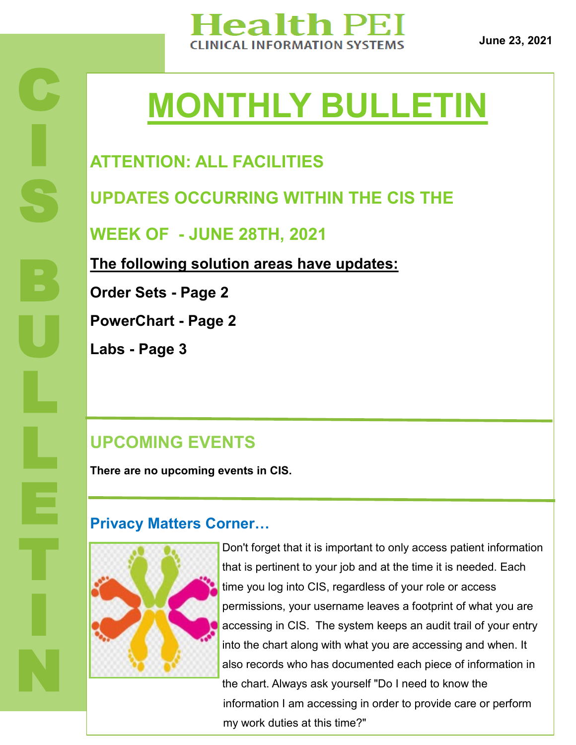

**June 23, 2021**

# **MONTHLY BULLETIN**

## **ATTENTION: ALL FACILITIES**

**UPDATES OCCURRING WITHIN THE CIS THE** 

**WEEK OF - JUNE 28TH, 2021**

**The following solution areas have updates:**

**Order Sets - Page 2**

**PowerChart - Page 2**

**Labs - Page 3**

C

I

S

B

U

L

E

T

I

N

#### **UPCOMING EVENTS**

**There are no upcoming events in CIS.** 

#### **Privacy Matters Corner…**



Don't forget that it is important to only access patient information that is pertinent to your job and at the time it is needed. Each time you log into CIS, regardless of your role or access permissions, your username leaves a footprint of what you are accessing in CIS. The system keeps an audit trail of your entry into the chart along with what you are accessing and when. It also records who has documented each piece of information in the chart. Always ask yourself "Do I need to know the information I am accessing in order to provide care or perform my work duties at this time?"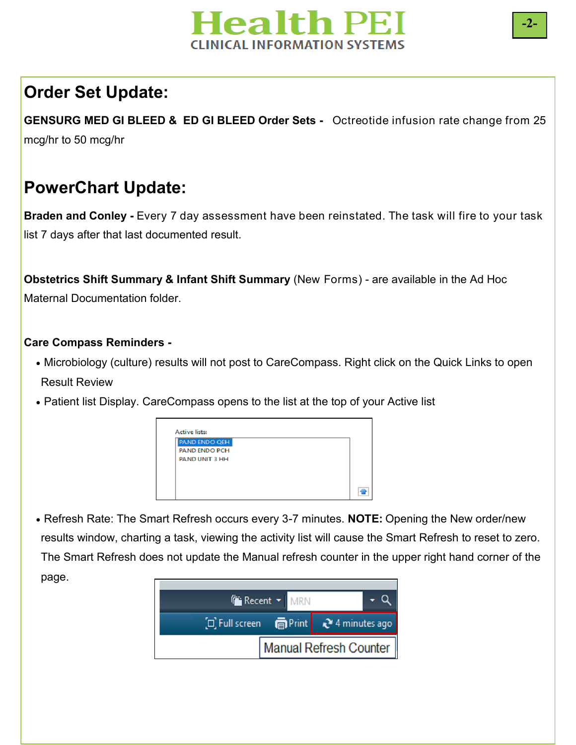

### **Order Set Update:**

**GENSURG MED GI BLEED & ED GI BLEED Order Sets -** Octreotide infusion rate change from 25 mcg/hr to 50 mcg/hr

#### **PowerChart Update:**

**Braden and Conley -** Every 7 day assessment have been reinstated. The task will fire to your task list 7 days after that last documented result.

**Obstetrics Shift Summary & Infant Shift Summary** (New Forms) - are available in the Ad Hoc Maternal Documentation folder.

#### **Care Compass Reminders -**

- Microbiology (culture) results will not post to CareCompass. Right click on the Quick Links to open Result Review
- Patient list Display. CareCompass opens to the list at the top of your Active list



 Refresh Rate: The Smart Refresh occurs every 3-7 minutes. **NOTE:** Opening the New order/new results window, charting a task, viewing the activity list will cause the Smart Refresh to reset to zero. The Smart Refresh does not update the Manual refresh counter in the upper right hand corner of the page.



**-2-**